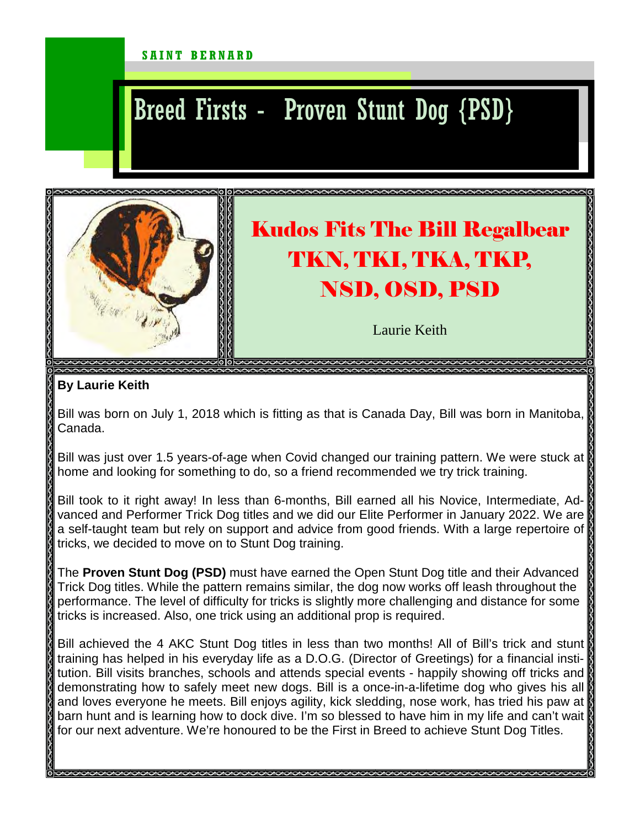## SAINT BERNARD

## Breed Firsts - Proven Stunt Dog {PSD}



## **By Laurie Keith**

Bill was born on July 1, 2018 which is fitting as that is Canada Day, Bill was born in Manitoba, Canada.

Bill was just over 1.5 years-of-age when Covid changed our training pattern. We were stuck at home and looking for something to do, so a friend recommended we try trick training.

Bill took to it right away! In less than 6-months, Bill earned all his Novice, Intermediate, Advanced and Performer Trick Dog titles and we did our Elite Performer in January 2022. We are a self-taught team but rely on support and advice from good friends. With a large repertoire of tricks, we decided to move on to Stunt Dog training.

The **Proven Stunt Dog (PSD)** must have earned the Open Stunt Dog title and their Advanced Trick Dog titles. While the pattern remains similar, the dog now works off leash throughout the performance. The level of difficulty for tricks is slightly more challenging and distance for some tricks is increased. Also, one trick using an additional prop is required.

Bill achieved the 4 AKC Stunt Dog titles in less than two months! All of Bill's trick and stunt training has helped in his everyday life as a D.O.G. (Director of Greetings) for a financial institution. Bill visits branches, schools and attends special events - happily showing off tricks and demonstrating how to safely meet new dogs. Bill is a once-in-a-lifetime dog who gives his all and loves everyone he meets. Bill enjoys agility, kick sledding, nose work, has tried his paw at barn hunt and is learning how to dock dive. I'm so blessed to have him in my life and can't wait for our next adventure. We're honoured to be the First in Breed to achieve Stunt Dog Titles.